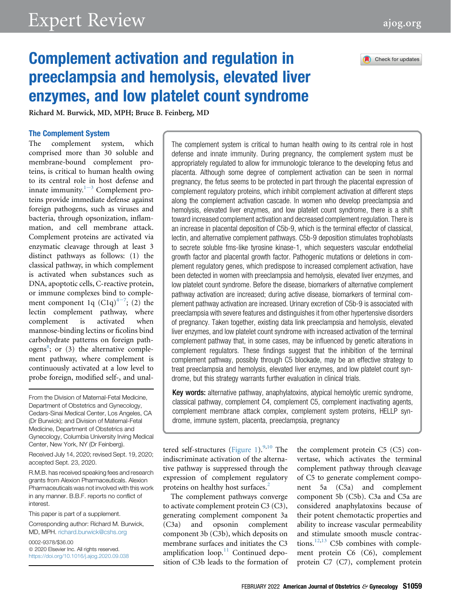# Check for updates

# Complement activation and regulation in preeclampsia and hemolysis, elevated liver enzymes, and low platelet count syndrome

Richard M. Burwick, MD, MPH; Bruce B. Feinberg, MD

#### The Complement System

The complement system, which comprised more than 30 soluble and membrane-bound complement proteins, is critical to human health owing to its central role in host defense and innat[e](#page-9-0) immunity. $1-3$  Complement proteins provide immediate defense against foreign pathogens, such as viruses and bacteria, through opsonization, inflammation, and cell membrane attack. Complement proteins are activated via enzymatic cleavage through at least 3 distinct pathways as follows: (1) the classical pathway, in which complement is activated when substances such as DNA, apoptotic cells, C-reactive protein, or immune complexes bind to complem[e](#page-9-1)nt component 1q  $(C1q)^{4-7}$ ; (2) the lectin complement pathway, where complement is activated when mannose-binding lectins or ficolins bind carbohydrate patterns on foreign path-ogens<sup>[8](#page-9-2)</sup>; or  $(3)$  the alternative complement pathway, where complement is continuously activated at a low level to probe foreign, modified self-, and unal-

From the Division of Maternal-Fetal Medicine, Department of Obstetrics and Gynecology, Cedars-Sinai Medical Center, Los Angeles, CA (Dr Burwick); and Division of Maternal-Fetal Medicine, Department of Obstetrics and Gynecology, Columbia University Irving Medical Center, New York, NY (Dr Feinberg).

Received July 14, 2020; revised Sept. 19, 2020; accepted Sept. 23, 2020.

R.M.B. has received speaking fees and research grants from Alexion Pharmaceuticals. Alexion Pharmaceuticals was not involved with this work in any manner. B.B.F. reports no conflict of interest.

This paper is part of a supplement.

Corresponding author: Richard M. Burwick, MD, MPH. [richard.burwick@cshs.org](mailto:richard.burwick@cshs.org)

0002-9378/\$36.00  $© 2020$  Elsevier Inc. All rights reserved. <https://doi.org/10.1016/j.ajog.2020.09.038> The complement system is critical to human health owing to its central role in host defense and innate immunity. During pregnancy, the complement system must be appropriately regulated to allow for immunologic tolerance to the developing fetus and placenta. Although some degree of complement activation can be seen in normal pregnancy, the fetus seems to be protected in part through the placental expression of complement regulatory proteins, which inhibit complement activation at different steps along the complement activation cascade. In women who develop preeclampsia and hemolysis, elevated liver enzymes, and low platelet count syndrome, there is a shift toward increased complement activation and decreased complement regulation. There is an increase in placental deposition of C5b-9, which is the terminal effector of classical, lectin, and alternative complement pathways. C5b-9 deposition stimulates trophoblasts to secrete soluble fms-like tyrosine kinase-1, which sequesters vascular endothelial growth factor and placental growth factor. Pathogenic mutations or deletions in complement regulatory genes, which predispose to increased complement activation, have been detected in women with preeclampsia and hemolysis, elevated liver enzymes, and low platelet count syndrome. Before the disease, biomarkers of alternative complement pathway activation are increased; during active disease, biomarkers of terminal complement pathway activation are increased. Urinary excretion of C5b-9 is associated with preeclampsia with severe features and distinguishes it from other hypertensive disorders of pregnancy. Taken together, existing data link preeclampsia and hemolysis, elevated liver enzymes, and low platelet count syndrome with increased activation of the terminal complement pathway that, in some cases, may be influenced by genetic alterations in complement regulators. These findings suggest that the inhibition of the terminal complement pathway, possibly through C5 blockade, may be an effective strategy to treat preeclampsia and hemolysis, elevated liver enzymes, and low platelet count syndrome, but this strategy warrants further evaluation in clinical trials.

Key words: alternative pathway, anaphylatoxins, atypical hemolytic uremic syndrome, classical pathway, complement C4, complement C5, complement inactivating agents, complement membrane attack complex, complement system proteins, HELLP syndrome, immune system, placenta, preeclampsia, pregnancy

tered self-structures ([Figure 1\)](#page-2-0). $9,10$  $9,10$  The indiscriminate activation of the alternative pathway is suppressed through the expression of complement regulatory proteins on healthy host surfaces.<sup>[2](#page-9-5)</sup>

The complement pathways converge to activate complement protein C3 (C3), generating complement component 3a (C3a) and opsonin complement component 3b (C3b), which deposits on membrane surfaces and initiates the C3 amplification  $loop^{11}$  $loop^{11}$  $loop^{11}$  Continued deposition of C3b leads to the formation of

the complement protein C5 (C5) convertase, which activates the terminal complement pathway through cleavage of C5 to generate complement component 5a (C5a) and complement component 5b (C5b). C3a and C5a are considered anaphylatoxins because of their potent chemotactic properties and ability to increase vascular permeability and stimulate smooth muscle contrac-tions.<sup>[12,](#page-9-7)[13](#page-10-0)</sup> C5b combines with complement protein C6 (C6), complement protein C7 (C7), complement protein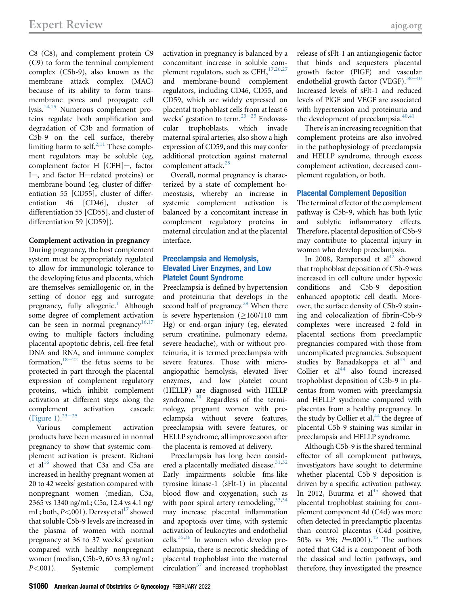C8 (C8), and complement protein C9 (C9) to form the terminal complement complex (C5b-9), also known as the membrane attack complex (MAC) because of its ability to form transmembrane pores and propagate cell lysis.<sup>[14,](#page-10-1)[15](#page-10-2)</sup> Numerous complement proteins regulate both amplification and degradation of C3b and formation of C5b-9 on the cell surface, thereby limiting harm to self. $^{2,11}$  $^{2,11}$  $^{2,11}$  $^{2,11}$  These complement regulators may be soluble (eg, complement factor H [CFH]-, factor I-, and factor H-related proteins) or membrane bound (eg, cluster of differentiation 55 [CD55], cluster of differentiation 46 [CD46], cluster of differentiation 55 [CD55], and cluster of differentiation 59 [CD59]).

Complement activation in pregnancy During pregnancy, the host complement system must be appropriately regulated to allow for immunologic tolerance to the developing fetus and placenta, which are themselves semiallogenic or, in the setting of donor egg and surrogate pregnancy, fully allogenic.<sup>1</sup> Although some degree of complement activation can be seen in normal pregnancy<sup>[16](#page-10-3)[,17](#page-10-4)</sup> owing to multiple factors including placental apoptotic debris, cell-free fetal DNA and RNA, and immune complex formation,  $18-22$  $18-22$  the fetus seems to be protected in part through the placental expression of complement regulatory proteins, which inhibit complement activation at different steps along the complement activation cascade [\(Figure 1](#page-2-0)). $23-25$  $23-25$ 

Various complement activation products have been measured in normal pregnancy to show that systemic complement activation is present. Richani et al<sup>[16](#page-10-3)</sup> showed that C3a and C5a are increased in healthy pregnant women at 20 to 42 weeks' gestation compared with nonpregnant women (median, C3a, 2365 vs 1340 ng/mL; C5a, 12.4 vs 4.1 ng/ mL; both,  $P<$  001). Derzsy et al<sup>[17](#page-10-4)</sup> showed that soluble C5b-9 levels are increased in the plasma of women with normal pregnancy at 36 to 37 weeks' gestation compared with healthy nonpregnant women (median, C5b-9, 60 vs 33 ng/mL; P<.001). Systemic complement

activation in pregnancy is balanced by a concomitant increase in soluble complement regulators, such as CFH, $^{17,26,27}$  $^{17,26,27}$  $^{17,26,27}$  $^{17,26,27}$  $^{17,26,27}$ and membrane-bound complement regulators, including CD46, CD55, and CD59, which are widely expressed on placental trophoblast cells from at least 6 weeks' gestation to term. $23-25$  $23-25$  Endovascular trophoblasts, which invade maternal spiral arteries, also show a high expression of CD59, and this may confer additional protection against maternal complement attack.<sup>[28](#page-10-9)</sup>

Overall, normal pregnancy is characterized by a state of complement homeostasis, whereby an increase in systemic complement activation is balanced by a concomitant increase in complement regulatory proteins in maternal circulation and at the placental interface.

# Preeclampsia and Hemolysis, Elevated Liver Enzymes, and Low Platelet Count Syndrome

Preeclampsia is defined by hypertension and proteinuria that develops in the second half of pregnancy. $^{29}$  $^{29}$  $^{29}$  When there is severe hypertension  $(>160/110$  mm Hg) or end-organ injury (eg, elevated serum creatinine, pulmonary edema, severe headache), with or without proteinuria, it is termed preeclampsia with severe features. Those with microangiopathic hemolysis, elevated liver enzymes, and low platelet count (HELLP) are diagnosed with HELLP syndrome.<sup>[30](#page-10-11)</sup> Regardless of the terminology, pregnant women with preeclampsia without severe features, preeclampsia with severe features, or HELLP syndrome, all improve soon after the placenta is removed at delivery.

Preeclampsia has long been consid-ered a placentally mediated disease.<sup>[31](#page-10-12)[,32](#page-10-13)</sup> Early impairments soluble fms-like tyrosine kinase-1 (sFlt-1) in placental blood flow and oxygenation, such as with poor spiral artery remodeling,  $33,34$  $33,34$ may increase placental inflammation and apoptosis over time, with systemic activation of leukocytes and endothelial cells.[35,](#page-10-16)[36](#page-10-17) In women who develop preeclampsia, there is necrotic shedding of placental trophoblast into the maternal circulation $37$  and increased trophoblast

release of sFlt-1 an antiangiogenic factor that binds and sequesters placental growth factor (PlGF) and va[scular](#page-10-19) endothelial growth factor (VEGF). $38-40$ Increased levels of sFlt-1 and reduced levels of PlGF and VEGF are associated with hypertension and proteinuria and the development of preeclampsia.<sup>[40,](#page-10-20)[41](#page-10-21)</sup>

There is an increasing recognition that complement proteins are also involved in the pathophysiology of preeclampsia and HELLP syndrome, through excess complement activation, decreased complement regulation, or both.

# Placental Complement Deposition

The terminal effector of the complement pathway is C5b-9, which has both lytic and sublytic inflammatory effects. Therefore, placental deposition of C5b-9 may contribute to placental injury in women who develop preeclampsia.

In 2008, Rampersad et  $al<sup>42</sup>$  $al<sup>42</sup>$  $al<sup>42</sup>$  showed that trophoblast deposition of C5b-9 was increased in cell culture under hypoxic conditions and C5b-9 deposition enhanced apoptotic cell death. Moreover, the surface density of C5b-9 staining and colocalization of fibrin-C5b-9 complexes were increased 2-fold in placental sections from preeclamptic pregnancies compared with those from uncomplicated pregnancies. Subsequent studies by Banadakoppa et  $al<sup>43</sup>$  $al<sup>43</sup>$  $al<sup>43</sup>$  and Collier et  $al<sup>44</sup>$  $al<sup>44</sup>$  $al<sup>44</sup>$  also found increased trophoblast deposition of C5b-9 in placentas from women with preeclampsia and HELLP syndrome compared with placentas from a healthy pregnancy. In the study by Collier et al, $^{44}$  $^{44}$  $^{44}$  the degree of placental C5b-9 staining was similar in preeclampsia and HELLP syndrome.

Although C5b-9 is the shared terminal effector of all complement pathways, investigators have sought to determine whether placental C5b-9 deposition is driven by a specific activation pathway. In 2012, Buurma et al<sup>[45](#page-10-25)</sup> showed that placental trophoblast staining for complement component 4d (C4d) was more often detected in preeclamptic placentas than control placentas (C4d positive, 50% vs 3%;  $P = 0001$ ).<sup>[45](#page-10-25)</sup> The authors noted that C4d is a component of both the classical and lectin pathways, and therefore, they investigated the presence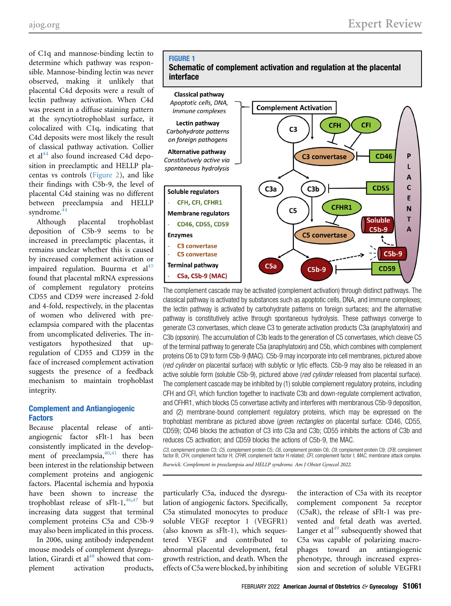of C1q and mannose-binding lectin to determine which pathway was responsible. Mannose-binding lectin was never observed, making it unlikely that placental C4d deposits were a result of lectin pathway activation. When C4d was present in a diffuse staining pattern at the syncytiotrophoblast surface, it colocalized with C1q, indicating that C4d deposits were most likely the result of classical pathway activation. Collier et al $^{44}$  $^{44}$  $^{44}$  also found increased C4d deposition in preeclamptic and HELLP placentas vs controls [\(Figure 2\)](#page-3-0), and like their findings with C5b-9, the level of placental C4d staining was no different between preeclampsia and HELLP syndrome.<sup>[44](#page-10-24)</sup>

Although placental trophoblast deposition of C5b-9 seems to be increased in preeclamptic placentas, it remains unclear whether this is caused by increased complement activation or impaired regulation. Buurma et al $^{45}$  $^{45}$  $^{45}$ found that placental mRNA expressions of complement regulatory proteins CD55 and CD59 were increased 2-fold and 4-fold, respectively, in the placentas of women who delivered with preeclampsia compared with the placentas from uncomplicated deliveries. The investigators hypothesized that upregulation of CD55 and CD59 in the face of increased complement activation suggests the presence of a feedback mechanism to maintain trophoblast integrity.

# Complement and Antiangiogenic Factors

Because placental release of antiangiogenic factor sFlt-1 has been consistently implicated in the development of preeclampsia, $40,41$  $40,41$  there has been interest in the relationship between complement proteins and angiogenic factors. Placental ischemia and hypoxia have been shown to increase the trophoblast release of  $sFlt-1,$ <sup>[46](#page-10-26)[,47](#page-10-27)</sup> but increasing data suggest that terminal complement proteins C5a and C5b-9 may also been implicated in this process.

In 2006, using antibody independent mouse models of complement dysregu-lation, Girardi et al<sup>[48](#page-10-28)</sup> showed that complement activation products,

#### <span id="page-2-0"></span>FIGURE 1





The complement cascade may be activated (complement activation) through distinct pathways. The classical pathway is activated by substances such as apoptotic cells, DNA, and immune complexes; the lectin pathway is activated by carbohydrate patterns on foreign surfaces; and the alternative pathway is constitutively active through spontaneous hydrolysis. These pathways converge to generate C3 convertases, which cleave C3 to generate activation products C3a (anaphylatoxin) and C3b (opsonin). The accumulation of C3b leads to the generation of C5 convertases, which cleave C5 of the terminal pathway to generate C5a (anaphylatoxin) and C5b, which combines with complement proteins C6 to C9 to form C5b-9 (MAC). C5b-9 may incorporate into cell membranes, pictured above (red cylinder on placental surface) with sublytic or lytic effects. C5b-9 may also be released in an active soluble form (soluble C5b-9), pictured above (red cylinder released from placental surface). The complement cascade may be inhibited by (1) soluble complement regulatory proteins, including CFH and CFI, which function together to inactivate C3b and down-regulate complement activation, and CFHR1, which blocks C5 convertase activity and interferes with membranous C5b-9 deposition, and (2) membrane-bound complement regulatory proteins, which may be expressed on the trophoblast membrane as pictured above (green rectangles on placental surface: CD46, CD55, CD59); CD46 blocks the activation of C3 into C3a and C3b; CD55 inhibits the actions of C3b and reduces C5 activation; and CD59 blocks the actions of C5b-9, the MAC.

*C3*, complement protein C3; *C5*, complement protein C5; *C6*, complement protein C6; *C9*, complement protein C9; *CFB*, complement<br>factor B; *CFH*, complement factor H; *CFHR*, complement factor H related; *CFI*, comple Burwick. Complement in preeclampsia and HELLP syndrome. Am J Obstet Gynecol 2022.

particularly C5a, induced the dysregulation of angiogenic factors. Specifically, C5a stimulated monocytes to produce soluble VEGF receptor 1 (VEGFR1) (also known as sFlt-1), which sequestered VEGF and contributed to abnormal placental development, fetal growth restriction, and death. When the effects of C5a were blocked, by inhibiting

the interaction of C5a with its receptor complement component 5a receptor (C5aR), the release of sFlt-1 was prevented and fetal death was averted. Langer et al<sup>[49](#page-10-29)</sup> subsequently showed that C5a was capable of polarizing macrophages toward an antiangiogenic phenotype, through increased expression and secretion of soluble VEGFR1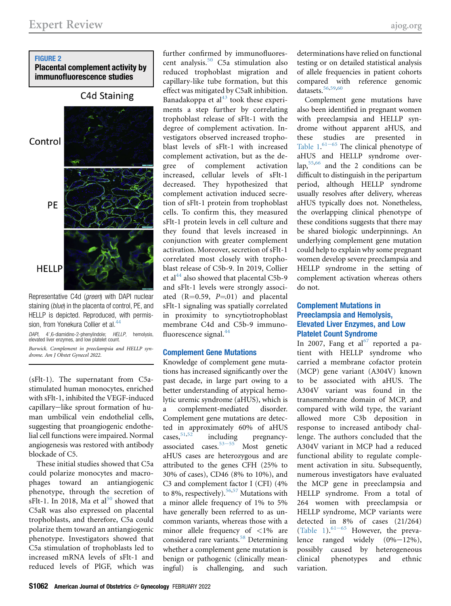# <span id="page-3-0"></span>FIGURE 2

# Placental complement activity by immunofluorescence studies



Representative C4d (green) with DAPI nuclear staining (blue) in the placenta of control, PE, and HELLP is depicted. Reproduced, with permis-sion, from Yonekura Collier et al.<sup>[44](#page-10-24)</sup>

*DAPI*, 4',6-diamidino-2-phenylindole; *HELLP*, hemolysis,<br>elevated liver enzymes, and low platelet count. Burwick. Complement in preeclampsia and HELLP syndrome. Am J Obstet Gynecol 2022.

(sFlt-1). The supernatant from C5astimulated human monocytes, enriched with sFlt-1, inhibited the VEGF-induced capillary-like sprout formation of human umbilical vein endothelial cells, suggesting that proangiogenic endothelial cell functions were impaired. Normal angiogenesis was restored with antibody blockade of C5.

These initial studies showed that C5a could polarize monocytes and macrophages toward an antiangiogenic phenotype, through the secretion of sFlt-1. In 2018, Ma et  $al<sup>50</sup>$  $al<sup>50</sup>$  $al<sup>50</sup>$  showed that C5aR was also expressed on placental trophoblasts, and therefore, C5a could polarize them toward an antiangiogenic phenotype. Investigators showed that C5a stimulation of trophoblasts led to increased mRNA levels of sFlt-1 and reduced levels of PlGF, which was

further confirmed by immunofluorescent analysis.[50](#page-10-30) C5a stimulation also reduced trophoblast migration and capillary-like tube formation, but this effect was mitigated by C5aR inhibition. Banadakoppa et  $al<sup>43</sup>$  $al<sup>43</sup>$  $al<sup>43</sup>$  took these experiments a step further by correlating trophoblast release of sFlt-1 with the degree of complement activation. Investigators observed increased trophoblast levels of sFlt-1 with increased complement activation, but as the degree of complement activation increased, cellular levels of sFlt-1 decreased. They hypothesized that complement activation induced secretion of sFlt-1 protein from trophoblast cells. To confirm this, they measured sFlt-1 protein levels in cell culture and they found that levels increased in conjunction with greater complement activation. Moreover, secretion of sFlt-1 correlated most closely with trophoblast release of C5b-9. In 2019, Collier et al<sup>[44](#page-10-24)</sup> also showed that placental C5b-9 and sFlt-1 levels were strongly associated  $(R=0.59, P=.01)$  and placental sFlt-1 signaling was spatially correlated in proximity to syncytiotrophoblast membrane C4d and C5b-9 immuno-fluorescence signal.<sup>[44](#page-10-24)</sup>

# Complement Gene Mutations

Knowledge of complement gene mutations has increased significantly over the past decade, in large part owing to a better understanding of atypical hemolytic uremic syndrome (aHUS), which is a complement-mediated disorder. Complement gene mutations are detected in approximately 60% of aHUS cases,<sup>[51](#page-10-31)[,52](#page-10-32)</sup> inc[luding](#page-10-33) pregnancyassociated cases. $53-55$  Most genetic aHUS cases are heterozygous and are attributed to the genes CFH (25% to 30% of cases), CD46 (8% to 10%), and C3 and complement factor I (CFI) (4% to 8%, respectively).<sup>[56](#page-10-34)[,57](#page-10-35)</sup> Mutations with a minor allele frequency of 1% to 5% have generally been referred to as uncommon variants, whereas those with a minor allele frequency of <1% are considered rare variants.<sup>[58](#page-10-36)</sup> Determining whether a complement gene mutation is benign or pathogenic (clinically meaningful) is challenging, and such

determinations have relied on functional testing or on detailed statistical analysis of allele frequencies in patient cohorts compared with reference genomic datasets.<sup>[56](#page-10-34),[59](#page-10-37),[60](#page-11-0)</sup>

Complement gene mutations have also been identified in pregnant women with preeclampsia and HELLP syndrome without apparent aHUS, and these studies are presented in Table  $1.^{61-65}$  $1.^{61-65}$  $1.^{61-65}$  The clinical phenotype of aHUS and HELLP syndrome overlap,[55,](#page-10-38)[66](#page-11-2) and the 2 conditions can be difficult to distinguish in the peripartum period, although HELLP syndrome usually resolves after delivery, whereas aHUS typically does not. Nonetheless, the overlapping clinical phenotype of these conditions suggests that there may be shared biologic underpinnings. An underlying complement gene mutation could help to explain why some pregnant women develop severe preeclampsia and HELLP syndrome in the setting of complement activation whereas others do not.

# Complement Mutations in Preeclampsia and Hemolysis, Elevated Liver Enzymes, and Low Platelet Count Syndrome

In 2007, Fang et  $al^{67}$  $al^{67}$  $al^{67}$  reported a patient with HELLP syndrome who carried a membrane cofactor protein (MCP) gene variant (A304V) known to be associated with aHUS. The A304V variant was found in the transmembrane domain of MCP, and compared with wild type, the variant allowed more C3b deposition in response to increased antibody challenge. The authors concluded that the A304V variant in MCP had a reduced functional ability to regulate complement activation in situ. Subsequently, numerous investigators have evaluated the MCP gene in preeclampsia and HELLP syndrome. From a total of 264 women with preeclampsia or HELLP syndrome, MCP variants were detected in 8% of cases (21/264) [\(Table 1](#page-4-0)). $61-65$  $61-65$  However, the prevalence ranged widely  $(0\% - 12\%)$ , possibly caused by heterogeneous clinical phenotypes and ethnic variation.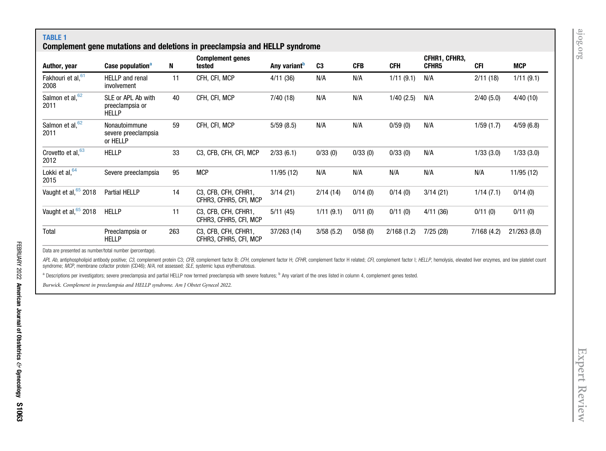<span id="page-4-1"></span>CFHR1, CFHR3,

# TABLE 1 Complement gene mutations and deletions in preeclampsia and HELLP syndrome Author, ye[a](#page-4-1)r **Case population<sup>a</sup> N** Complement genes

<span id="page-4-0"></span>

| Author, year                 | Case population <sup>a</sup>                          | N   | tested                                         | Any variant <sup>b</sup> | C <sub>3</sub> | <b>CFB</b> | <b>CFH</b> | CFHR5    | <b>CFI</b> | <b>MCP</b>  |
|------------------------------|-------------------------------------------------------|-----|------------------------------------------------|--------------------------|----------------|------------|------------|----------|------------|-------------|
| Fakhouri et al, 61<br>2008   | <b>HELLP</b> and renal<br>involvement                 | 11  | CFH, CFI, MCP                                  | 4/11 (36)                | N/A            | N/A        | 1/11(9.1)  | N/A      | 2/11(18)   | 1/11(9.1)   |
| Salmon et al, 62<br>2011     | SLE or APL Ab with<br>preeclampsia or<br><b>HELLP</b> | 40  | CFH, CFI, MCP                                  | 7/40(18)                 | N/A            | N/A        | 1/40(2.5)  | N/A      | 2/40(5.0)  | 4/40(10)    |
| Salmon et al, 62<br>2011     | Nonautoimmune<br>severe preeclampsia<br>or HELLP      | 59  | CFH, CFI, MCP                                  | 5/59(8.5)                | N/A            | N/A        | 0/59(0)    | N/A      | 1/59(1.7)  | 4/59(6.8)   |
| Crovetto et al, $63$<br>2012 | <b>HELLP</b>                                          | 33  | C3, CFB, CFH, CFI, MCP                         | 2/33(6.1)                | 0/33(0)        | 0/33(0)    | 0/33(0)    | N/A      | 1/33(3.0)  | 1/33(3.0)   |
| Lokki et al, $64$<br>2015    | Severe preeclampsia                                   | 95  | <b>MCP</b>                                     | 11/95 (12)               | N/A            | N/A        | N/A        | N/A      | N/A        | 11/95 (12)  |
| Vaught et al, $65$ 2018      | <b>Partial HELLP</b>                                  | 14  | C3, CFB, CFH, CFHR1,<br>CFHR3, CFHR5, CFI, MCP | 3/14(21)                 | 2/14(14)       | 0/14(0)    | 0/14(0)    | 3/14(21) | 1/14(7.1)  | 0/14(0)     |
| Vaught et al, 65 2018        | <b>HELLP</b>                                          | 11  | C3, CFB, CFH, CFHR1,<br>CFHR3, CFHR5, CFI, MCP | 5/11(45)                 | 1/11(9.1)      | 0/11(0)    | 0/11(0)    | 4/11(36) | 0/11(0)    | 0/11(0)     |
| Total                        | Preeclampsia or<br><b>HELLP</b>                       | 263 | C3, CFB, CFH, CFHR1,<br>CFHR3, CFHR5, CFI, MCP | 37/263 (14)              | 3/58(5.2)      | 0/58(0)    | 2/168(1.2) | 7/25(28) | 7/168(4.2) | 21/263(8.0) |

Data are presented as number/total number (percentage).

APL Ab, antiphospholipid antibody positive; C3, complement protein C3; CFB, complement factor B; CFH, complement factor H; CFHR, complement factor H; CFHR, complement factor H related; CFI, complement factor H; HELLP, hemo syndrome; MCP, membrane cofactor protein (CD46); N/A, not assessed; SLE, systemic lupus erythematosus.

<sup>a</sup> Descriptions per investigators; severe preeclampsia and partial HELLP now termed preeclampsia with severe features; <sup>b</sup> Any variant of the ones listed in column 4, complement genes tested.

Burwick. Complement in preeclampsia and HELLP syndrome. Am J Obstet Gynecol 2022.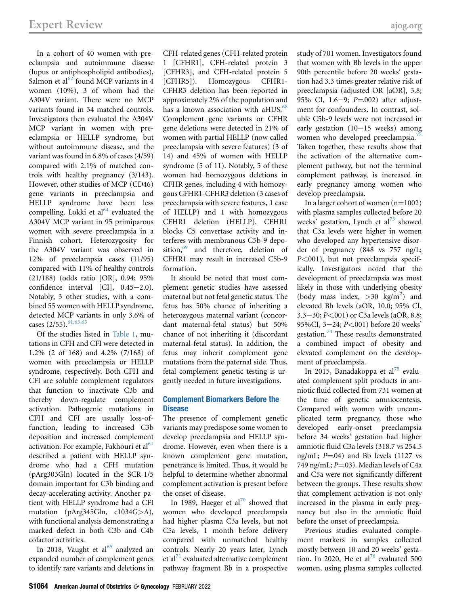In a cohort of 40 women with preeclampsia and autoimmune disease (lupus or antiphospholipid antibodies), Salmon et al<sup>[62](#page-11-9)</sup> found MCP variants in 4 women (10%), 3 of whom had the A304V variant. There were no MCP variants found in 34 matched controls. Investigators then evaluated the A304V MCP variant in women with preeclampsia or HELLP syndrome, but without autoimmune disease, and the variant was found in 6.8% of cases (4/59) compared with 2.1% of matched controls with healthy pregnancy (3/143). However, other studies of MCP (CD46) gene variants in preeclampsia and HELLP syndrome have been less compelling. Lokki et al<sup>[64](#page-11-10)</sup> evaluated the A304V MCP variant in 95 primiparous women with severe preeclampsia in a Finnish cohort. Heterozygosity for the A304V variant was observed in 12% of preeclampsia cases (11/95) compared with 11% of healthy controls (21/188) (odds ratio [OR], 0.94; 95% confidence interval  $[CI]$ ,  $0.45-2.0$ ). Notably, 3 other studies, with a combined 55 women with HELLP syndrome, detected MCP variants in only 3.6% of cases (2/55).<sup>[61](#page-11-1)[,63](#page-11-11)[,65](#page-11-12)</sup>

Of the studies listed in [Table 1](#page-4-0), mutations in CFH and CFI were detected in 1.2% (2 of 168) and 4.2% (7/168) of women with preeclampsia or HELLP syndrome, respectively. Both CFH and CFI are soluble complement regulators that function to inactivate C3b and thereby down-regulate complement activation. Pathogenic mutations in CFH and CFI are usually loss-offunction, leading to increased C3b deposition and increased complement activation. For example, Fakhouri et al $61$ described a patient with HELLP syndrome who had a CFH mutation (pArg303Gln) located in the SCR-1/5 domain important for C3b binding and decay-accelerating activity. Another patient with HELLP syndrome had a CFI mutation (pArg345Gln, c1034G>A), with functional analysis demonstrating a marked defect in both C3b and C4b cofactor activities.

In 2018, Vaught et al<sup>[65](#page-11-12)</sup> analyzed an expanded number of complement genes to identify rare variants and deletions in CFH-related genes (CFH-related protein 1 [CFHR1], CFH-related protein 3 [CFHR3], and CFH-related protein 5 [CFHR5]). Homozygous CFHR1- CFHR3 deletion has been reported in approximately 2% of the population and has a known association with aHUS.<sup>[68](#page-11-13)</sup> Complement gene variants or CFHR gene deletions were detected in 21% of women with partial HELLP (now called preeclampsia with severe features) (3 of 14) and 45% of women with HELLP syndrome (5 of 11). Notably, 5 of these women had homozygous deletions in CFHR genes, including 4 with homozygous CFHR1-CFHR3 deletion (3 cases of preeclampsia with severe features, 1 case of HELLP) and 1 with homozygous CFHR1 deletion (HELLP). CFHR1 blocks C5 convertase activity and interferes with membranous C5b-9 depo-sition,<sup>[69](#page-11-14)</sup> and therefore, deletion of CFHR1 may result in increased C5b-9 formation.

It should be noted that most complement genetic studies have assessed maternal but not fetal genetic status. The fetus has 50% chance of inheriting a heterozygous maternal variant (concordant maternal-fetal status) but 50% chance of not inheriting it (discordant maternal-fetal status). In addition, the fetus may inherit complement gene mutations from the paternal side. Thus, fetal complement genetic testing is urgently needed in future investigations.

# Complement Biomarkers Before the **Disease**

The presence of complement genetic variants may predispose some women to develop preeclampsia and HELLP syndrome. However, even when there is a known complement gene mutation, penetrance is limited. Thus, it would be helpful to determine whether abnormal complement activation is present before the onset of disease.

In 1989, Haeger et al<sup>[70](#page-11-15)</sup> showed that women who developed preeclampsia had higher plasma C3a levels, but not C5a levels, 1 month before delivery compared with unmatched healthy controls. Nearly 20 years later, Lynch et al $^{71}$  $^{71}$  $^{71}$  evaluated alternative complement pathway fragment Bb in a prospective

study of 701 women. Investigators found that women with Bb levels in the upper 90th percentile before 20 weeks' gestation had 3.3 times greater relative risk of preeclampsia (adjusted OR [aOR], 3.8; 95% CI, 1.6-9;  $P=002$ ) after adjustment for confounders. In contrast, soluble C5b-9 levels were not increased in early gestation  $(10-15$  weeks) among women who developed preeclampsia.<sup>[72](#page-11-17)</sup> Taken together, these results show that the activation of the alternative complement pathway, but not the terminal complement pathway, is increased in early pregnancy among women who develop preeclampsia.

In a larger cohort of women  $(n=1002)$ with plasma samples collected before 20 weeks' gestation, Lynch et  $al^{73}$  $al^{73}$  $al^{73}$  showed that C3a levels were higher in women who developed any hypertensive disorder of pregnancy (848 vs 757 ng/L;  $P<001$ ), but not preeclampsia specifically. Investigators noted that the development of preeclampsia was most likely in those with underlying obesity (body mass index,  $>30$  kg/m<sup>2</sup>) and elevated Bb levels (aOR, 10.0; 95% CI,  $3.3 - 30$ ;  $P < 001$ ) or C3a levels (aOR, 8.8; 95%CI, 3-24; P<.001) before 20 weeks' gestation.[74](#page-11-19) These results demonstrated a combined impact of obesity and elevated complement on the development of preeclampsia.

In 2015, Banadakoppa et al<sup>[75](#page-11-20)</sup> evaluated complement split products in amniotic fluid collected from 731 women at the time of genetic amniocentesis. Compared with women with uncomplicated term pregnancy, those who developed early-onset preeclampsia before 34 weeks' gestation had higher amniotic fluid C3a levels (318.7 vs 254.5 ng/mL;  $P = 04$ ) and Bb levels (1127 vs 749 ng/mL;  $P=03$ ). Median levels of C4a and C5a were not significantly different between the groups. These results show that complement activation is not only increased in the plasma in early pregnancy but also in the amniotic fluid before the onset of preeclampsia.

Previous studies evaluated complement markers in samples collected mostly between 10 and 20 weeks' gesta-tion. In 2020, He et al<sup>[76](#page-11-21)</sup> evaluated 500 women, using plasma samples collected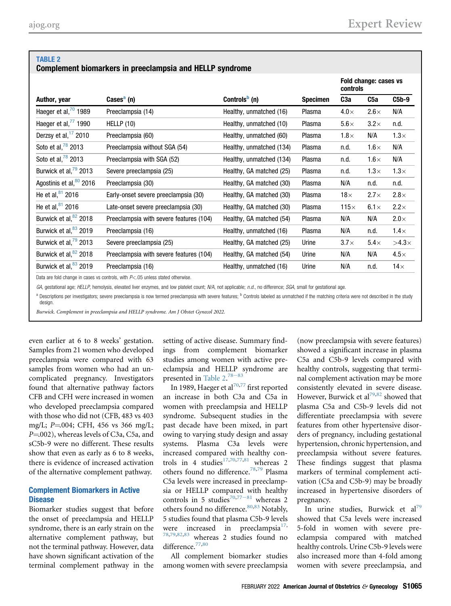#### <span id="page-6-0"></span>TABLE 2 Complement biomarkers in preeclampsia and HELLP syndrome

|                                   |                                         |                           |                 | Fold change: cases vs<br>controls |             |              |
|-----------------------------------|-----------------------------------------|---------------------------|-----------------|-----------------------------------|-------------|--------------|
| Author, year                      | Cases <sup>a</sup> (n)                  | Controls <sup>b</sup> (n) | <b>Specimen</b> | C <sub>3</sub> a                  | C5a         | $C5b-9$      |
| Haeger et al, $\frac{70}{1989}$   | Preeclampsia (14)                       | Healthy, unmatched (16)   | Plasma          | $4.0\times$                       | $2.6\times$ | N/A          |
| Haeger et al, <sup>"</sup> 1990   | HELLP(10)                               | Healthy, unmatched (10)   | Plasma          | $5.6\times$                       | $3.2\times$ | n.d.         |
| Derzsy et al, $1/2010$            | Preeclampsia (60)                       | Healthy, unmatched (60)   | Plasma          | $1.8\times$                       | N/A         | $1.3\times$  |
| Soto et al, $\frac{78}{9}$ 2013   | Preeclampsia without SGA (54)           | Healthy, unmatched (134)  | Plasma          | n.d.                              | $1.6\times$ | N/A          |
| Soto et al, $78$ 2013             | Preeclampsia with SGA (52)              | Healthy, unmatched (134)  | Plasma          | n.d.                              | $1.6\times$ | N/A          |
| Burwick et al, <sup>79</sup> 2013 | Severe preeclampsia (25)                | Healthy, GA matched (25)  | Plasma          | n.d.                              | $1.3\times$ | $1.3\times$  |
| Agostinis et al, 80 2016          | Preeclampsia (30)                       | Healthy, GA matched (30)  | Plasma          | N/A                               | n.d.        | n.d.         |
| He et al, $81$ 2016               | Early-onset severe preeclampsia (30)    | Healthy, GA matched (30)  | Plasma          | 18 $\times$                       | $2.7\times$ | $2.8\times$  |
| He et al, $81$ 2016               | Late-onset severe preeclampsia (30)     | Healthy, GA matched (30)  | Plasma          | $115\times$                       | $6.1\times$ | $2.2\times$  |
| Burwick et al, <sup>82</sup> 2018 | Preeclampsia with severe features (104) | Healthy, GA matched (54)  | Plasma          | N/A                               | N/A         | $2.0\times$  |
| Burwick et al, <sup>83</sup> 2019 | Preeclampsia (16)                       | Healthy, unmatched (16)   | Plasma          | N/A                               | n.d.        | $1.4\times$  |
| Burwick et al, <sup>79</sup> 2013 | Severe preeclampsia (25)                | Healthy, GA matched (25)  | Urine           | $3.7\times$                       | $5.4\times$ | $>4.3\times$ |
| Burwick et al, <sup>82</sup> 2018 | Preeclampsia with severe features (104) | Healthy, GA matched (54)  | Urine           | N/A                               | N/A         | $4.5\times$  |
| Burwick et al, <sup>83</sup> 2019 | Preeclampsia (16)                       | Healthy, unmatched (16)   | Urine           | N/A                               | n.d.        | 14 $\times$  |
|                                   |                                         |                           |                 |                                   |             |              |

Data are fold change in cases vs controls, with  $P<.05$  unless stated otherwise.

GA, gestational age; HELLP, hemolysis, elevated liver enzymes, and low platelet count; N/A, not applicable; n.d., no difference; SGA, small for gestational age.

<span id="page-6-1"></span><sup>a</sup> Descriptions per investigators; severe preeclampsia is now termed preeclampsia with severe features; <sup>b</sup> Controls labeled as unmatched if the matching criteria were not described in the study design.

Burwick. Complement in preeclampsia and HELLP syndrome. Am J Obstet Gynecol 2022.

even earlier at 6 to 8 weeks' gestation. Samples from 21 women who developed preeclampsia were compared with 63 samples from women who had an uncomplicated pregnancy. Investigators found that alternative pathway factors CFB and CFH were increased in women who developed preeclampsia compared with those who did not (CFB, 483 vs 403 mg/L; P=.004; CFH, 456 vs 366 mg/L; P=.002), whereas levels of C3a, C5a, and sC5b-9 were no different. These results show that even as early as 6 to 8 weeks, there is evidence of increased activation of the alternative complement pathway.

#### Complement Biomarkers in Active **Disease**

Biomarker studies suggest that before the onset of preeclampsia and HELLP syndrome, there is an early strain on the alternative complement pathway, but not the terminal pathway. However, data have shown significant activation of the terminal complement pathway in the

setting of active disease. Summary findings from complement biomarker studies among women with active preeclampsia and HE[LLP s](#page-11-22)yndrome are presented in Table  $2.^{78-83}$ 

In 1989, Haeger et al<sup>[70](#page-11-15),[77](#page-11-23)</sup> first reported an increase in both C3a and C5a in women with preeclampsia and HELLP syndrome. Subsequent studies in the past decade have been mixed, in part owing to varying study design and assay systems. Plasma C3a levels were increased compared with healthy con-trols in 4 studies<sup>[17,](#page-10-4)[70,](#page-11-15)[77,](#page-11-23)[81](#page-11-24)</sup> whereas 2 others found no difference.<sup>[78,](#page-11-22)[79](#page-11-25)</sup> Plasma C5a levels were increased in preeclampsia or HELLP compared with healthy controls in 5 studies<sup>[70,](#page-11-15)77-[81](#page-11-23)</sup> whereas 2 others found no difference.  $^{80,83}$  $^{80,83}$  $^{80,83}$  $^{80,83}$  Notably, 5 studies found that plasma C5b-9 levels were increased in preeclampsia $17$ , [78](#page-11-22)[,79](#page-11-25)[,82](#page-11-28)[,83](#page-11-27) whereas 2 studies found no difference.<sup>[77,](#page-11-23)[80](#page-11-26)</sup>

All complement biomarker studies among women with severe preeclampsia

(now preeclampsia with severe features) showed a significant increase in plasma C5a and C5b-9 levels compared with healthy controls, suggesting that terminal complement activation may be more consistently elevated in severe disease. However, Burwick et al<sup>[79](#page-11-25)[,82](#page-11-28)</sup> showed that plasma C5a and C5b-9 levels did not differentiate preeclampsia with severe features from other hypertensive disorders of pregnancy, including gestational hypertension, chronic hypertension, and preeclampsia without severe features. These findings suggest that plasma markers of terminal complement activation (C5a and C5b-9) may be broadly increased in hypertensive disorders of pregnancy.

In urine studies, Burwick et  $al^{79}$  $al^{79}$  $al^{79}$ showed that C5a levels were increased 5-fold in women with severe preeclampsia compared with matched healthy controls. Urine C5b-9 levels were also increased more than 4-fold among women with severe preeclampsia, and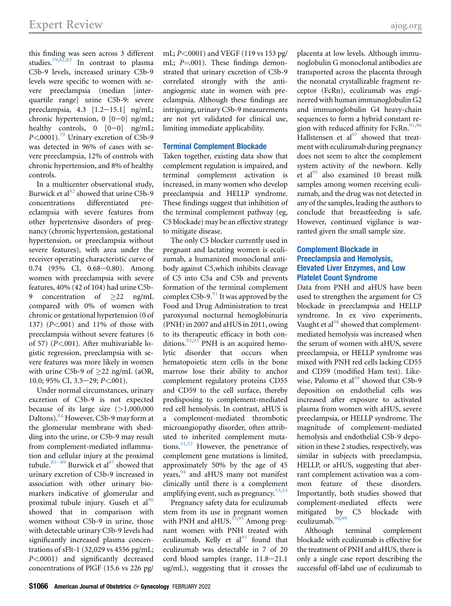this finding was seen across 3 different studies.[79,](#page-11-25)[82,](#page-11-28)[83](#page-11-27) In contrast to plasma C5b-9 levels, increased urinary C5b-9 levels were specific to women with severe preeclampsia (median [interquartile range] urine C5b-9: severe preeclampsia, 4.3 [1.2-15.1] ng/mL; chronic hypertension,  $0$  [0-0] ng/mL; healthy controls,  $0$   $[0-0]$  ng/mL;  $P<sub>0001</sub>$ .<sup>79</sup> Urinary excretion of C5b-9 was detected in 96% of cases with severe preeclampsia, 12% of controls with chronic hypertension, and 8% of healthy controls.

In a multicenter observational study, Burwick et al<sup>[82](#page-11-28)</sup> showed that urine C5b-9 concentrations differentiated preeclampsia with severe features from other hypertensive disorders of pregnancy (chronic hypertension, gestational hypertension, or preeclampsia without severe features), with area under the receiver operating characteristic curve of  $0.74$  (95% CI, 0.68-0.80). Among women with preeclampsia with severe features, 40% (42 of 104) had urine C5b-9 concentration of 22 ng/mL compared with 0% of women with chronic or gestational hypertension (0 of 137) (P<.001) and 11% of those with preeclampsia without severe features (6 of 57) (P<.001). After multivariable logistic regression, preeclampsia with severe features was more likely in women with urine C5b-9 of  $>22$  ng/mL (aOR, 10.0; 95% CI, 3.5 $-29$ ; P<.001).

Under normal circumstances, urinary excretion of C5b-9 is not expected because of its large size  $(>1,000,000)$ Daltons).<sup>[84](#page-11-29)</sup> However, C5b-9 may form at the glomerular membrane with shedding into the urine, or C5b-9 may result from complement-mediated inflammation a[nd cel](#page-11-30)lular injury at the proximal tubule.<sup>85-89</sup> Burwick et al<sup>[87](#page-11-31)</sup> showed that urinary excretion of C5b-9 increased in association with other urinary biomarkers indicative of glomerular and proximal tubule injury. Guseh et  $al<sup>90</sup>$  $al<sup>90</sup>$  $al<sup>90</sup>$ showed that in comparison with women without C5b-9 in urine, those with detectable urinary C5b-9 levels had significantly increased plasma concentrations of sFlt-1 (32,029 vs 4556 pg/mL; P<.0001) and significantly decreased concentrations of PlGF (15.6 vs 226 pg/

mL; P<.0001) and VEGF (119 vs 153 pg/ mL;  $P=001$ ). These findings demonstrated that urinary excretion of C5b-9 correlated strongly with the antiangiogenic state in women with preeclampsia. Although these findings are intriguing, urinary C5b-9 measurements are not yet validated for clinical use, limiting immediate applicability.

# Terminal Complement Blockade

Taken together, existing data show that complement regulation is impaired, and terminal complement activation is increased, in many women who develop preeclampsia and HELLP syndrome. These findings suggest that inhibition of the terminal complement pathway (eg, C5 blockade) may be an effective strategy to mitigate disease.

The only C5 blocker currently used in pregnant and lactating women is eculizumab, a humanized monoclonal antibody against C5,which inhibits cleavage of C5 into C5a and C5b and prevents formation of the terminal complement complex C5b-9. $91$  It was approved by the Food and Drug Administration to treat paroxysmal nocturnal hemoglobinuria (PNH) in 2007 and aHUS in 2011, owing to its therapeutic efficacy in both conditions.  $92,93$  $92,93$  PNH is an acquired hemolytic disorder that occurs when hematopoietic stem cells in the bone marrow lose their ability to anchor complement regulatory proteins CD55 and CD59 to the cell surface, thereby predisposing to complement-mediated red cell hemolysis. In contrast, aHUS is a complement-mediated thrombotic microangiopathy disorder, often attributed to inherited complement muta-tions.<sup>[51](#page-10-31)[,52](#page-10-32)</sup> However, the penetrance of complement gene mutations is limited, approximately 50% by the age of 45 years,  $94$  and aHUS many not manifest clinically until there is a complement amplifying event, such as pregnancy.  $53,55$  $53,55$ 

Pregnancy safety data for eculizumab stem from its use in pregnant women with PNH and aHUS. $55,95$  $55,95$  Among pregnant women with PNH treated with eculizumab, Kelly et  $al^{95}$  $al^{95}$  $al^{95}$  found that eculizumab was detectable in 7 of 20 cord blood samples (range,  $11.8-21.1$ ug/mL), suggesting that it crosses the

placenta at low levels. Although immunoglobulin G monoclonal antibodies are transported across the placenta through the neonatal crystallizable fragment receptor (FcRn), eculizumab was engineered with human immunoglobulin G2 and immunoglobulin G4 heavy-chain sequences to form a hybrid constant region with reduced affinity for FcRn. $91,96$  $91,96$  $91,96$ Hallstensen et al $^{97}$  $^{97}$  $^{97}$  showed that treatment with eculizumab during pregnancy does not seem to alter the complement system activity of the newborn. Kelly et al<sup>[95](#page-11-37)</sup> also examined 10 breast milk samples among women receiving eculizumab, and the drug was not detected in any of the samples, leading the authors to conclude that breastfeeding is safe. However, continued vigilance is warranted given the small sample size.

# Complement Blockade in Preeclampsia and Hemolysis, Elevated Liver Enzymes, and Low Platelet Count Syndrome

Data from PNH and aHUS have been used to strengthen the argument for C5 blockade in preeclampsia and HELLP syndrome. In ex vivo experiments, Vaught et al $^{98}$  $^{98}$  $^{98}$  showed that complementmediated hemolysis was increased when the serum of women with aHUS, severe preeclampsia, or HELLP syndrome was mixed with PNH red cells lacking CD55 and CD59 (modified Ham test). Like-wise, Palomo et al<sup>[99](#page-11-41)</sup> showed that C5b-9 deposition on endothelial cells was increased after exposure to activated plasma from women with aHUS, severe preeclampsia, or HELLP syndrome. The magnitude of complement-mediated hemolysis and endothelial C5b-9 deposition in these 2 studies, respectively, was similar in subjects with preeclampsia, HELLP, or aHUS, suggesting that aberrant complement activation was a common feature of these disorders. Importantly, both studies showed that complement-mediated effects were mitigated by C5 blockade with eculizumab.<sup>[98,](#page-11-40)[99](#page-11-41)</sup>

Although terminal complement blockade with eculizumab is effective for the treatment of PNH and aHUS, there is only a single case report describing the successful off-label use of eculizumab to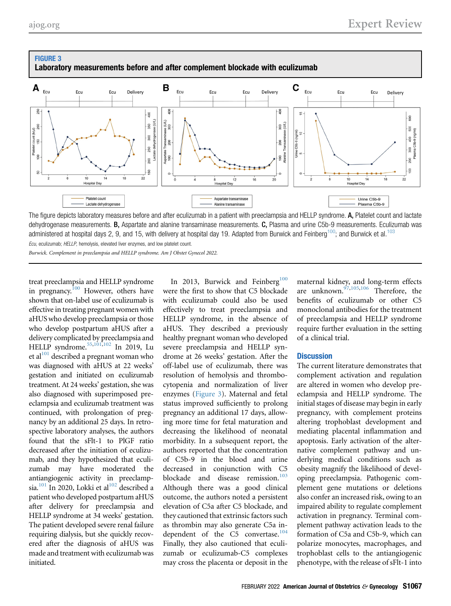

# <span id="page-8-0"></span>FIGURE 3 Laboratory measurements before and after complement blockade with eculizumab

The figure depicts laboratory measures before and after eculizumab in a patient with preeclampsia and HELLP syndrome. A, Platelet count and lactate dehydrogenase measurements. B, Aspartate and alanine transaminase measurements. C, Plasma and urine C5b-9 measurements. Eculizumab was administered at hospital days 2, 9, and 15, with delivery at hospital day 19. Adapted from Burwick and Feinberg<sup>[100](#page-11-42)</sup>; and Burwick et al.<sup>[103](#page-11-45)</sup>

Ecu, eculizumab; HELLP, hemolysis, elevated liver enzymes, and low platelet count.

Burwick. Complement in preeclampsia and HELLP syndrome. Am J Obstet Gynecol 2022.

treat preeclampsia and HELLP syndrome in pregnancy.<sup>[100](#page-11-42)</sup> However, others have shown that on-label use of eculizumab is effective in treating pregnant women with aHUS who develop preeclampsia or those who develop postpartum aHUS after a delivery complicated by preeclampsia and HELLP syndrome.<sup>55,[101](#page-11-43),[102](#page-11-44)</sup> In 2019, Lu et al $^{101}$  $^{101}$  $^{101}$  described a pregnant woman who was diagnosed with aHUS at 22 weeks' gestation and initiated on eculizumab treatment. At 24 weeks' gestation, she was also diagnosed with superimposed preeclampsia and eculizumab treatment was continued, with prolongation of pregnancy by an additional 25 days. In retrospective laboratory analyses, the authors found that the sFlt-1 to PlGF ratio decreased after the initiation of eculizumab, and they hypothesized that eculizumab may have moderated the antiangiogenic activity in preeclampsia.<sup>101</sup> In 2020, Lokki et al<sup>102</sup> described a patient who developed postpartum aHUS after delivery for preeclampsia and HELLP syndrome at 34 weeks' gestation. The patient developed severe renal failure requiring dialysis, but she quickly recovered after the diagnosis of aHUS was made and treatment with eculizumab was initiated.

In 2013, Burwick and Feinberg<sup>[100](#page-11-42)</sup> were the first to show that C5 blockade with eculizumab could also be used effectively to treat preeclampsia and HELLP syndrome, in the absence of aHUS. They described a previously healthy pregnant woman who developed severe preeclampsia and HELLP syndrome at 26 weeks' gestation. After the off-label use of eculizumab, there was resolution of hemolysis and thrombocytopenia and normalization of liver enzymes ([Figure 3](#page-8-0)). Maternal and fetal status improved sufficiently to prolong pregnancy an additional 17 days, allowing more time for fetal maturation and decreasing the likelihood of neonatal morbidity. In a subsequent report, the authors reported that the concentration of C5b-9 in the blood and urine decreased in conjunction with C5 blockade and disease remission.<sup>[103](#page-11-45)</sup> Although there was a good clinical outcome, the authors noted a persistent elevation of C5a after C5 blockade, and they cautioned that extrinsic factors such as thrombin may also generate C5a in-dependent of the C5 convertase.<sup>[104](#page-11-46)</sup> Finally, they also cautioned that eculizumab or eculizumab-C5 complexes may cross the placenta or deposit in the

maternal kidney, and long-term effects are unknown.<sup>[97](#page-11-39)[,105,](#page-11-47)[106](#page-11-48)</sup> Therefore, the benefits of eculizumab or other C5 monoclonal antibodies for the treatment of preeclampsia and HELLP syndrome require further evaluation in the setting of a clinical trial.

#### **Discussion**

The current literature demonstrates that complement activation and regulation are altered in women who develop preeclampsia and HELLP syndrome. The initial stages of disease may begin in early pregnancy, with complement proteins altering trophoblast development and mediating placental inflammation and apoptosis. Early activation of the alternative complement pathway and underlying medical conditions such as obesity magnify the likelihood of developing preeclampsia. Pathogenic complement gene mutations or deletions also confer an increased risk, owing to an impaired ability to regulate complement activation in pregnancy. Terminal complement pathway activation leads to the formation of C5a and C5b-9, which can polarize monocytes, macrophages, and trophoblast cells to the antiangiogenic phenotype, with the release of sFlt-1 into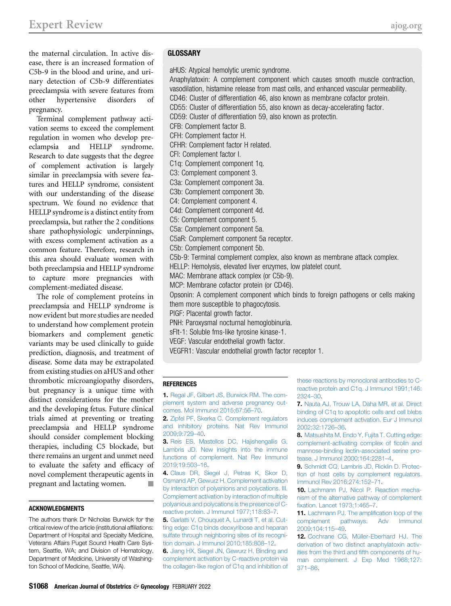the maternal circulation. In active disease, there is an increased formation of C5b-9 in the blood and urine, and urinary detection of C5b-9 differentiates preeclampsia with severe features from other hypertensive disorders of pregnancy.

Terminal complement pathway activation seems to exceed the complement regulation in women who develop preeclampsia and HELLP syndrome. Research to date suggests that the degree of complement activation is largely similar in preeclampsia with severe features and HELLP syndrome, consistent with our understanding of the disease spectrum. We found no evidence that HELLP syndrome is a distinct entity from preeclampsia, but rather the 2 conditions share pathophysiologic underpinnings, with excess complement activation as a common feature. Therefore, research in this area should evaluate women with both preeclampsia and HELLP syndrome to capture more pregnancies with complement-mediated disease.

The role of complement proteins in preeclampsia and HELLP syndrome is now evident but more studies are needed to understand how complement protein biomarkers and complement genetic variants may be used clinically to guide prediction, diagnosis, and treatment of disease. Some data may be extrapolated from existing studies on aHUS and other thrombotic microangiopathy disorders, but pregnancy is a unique time with distinct considerations for the mother and the developing fetus. Future clinical trials aimed at preventing or treating preeclampsia and HELLP syndrome should consider complement blocking therapies, including C5 blockade, but there remains an urgent and unmet need to evaluate the safety and efficacy of novel complement therapeutic agents in pregnant and lactating women.

#### ACKNOWLEDGMENTS

The authors thank Dr Nicholas Burwick for the critical review of the article (institutional affiliations: Department of Hospital and Specialty Medicine, Veterans Affairs Puget Sound Health Care System, Seattle, WA; and Division of Hematology, Department of Medicine, University of Washington School of Medicine, Seattle, WA).

# **GLOSSARY**

aHUS: Atypical hemolytic uremic syndrome.

Anaphylatoxin: A complement component which causes smooth muscle contraction, vasodilation, histamine release from mast cells, and enhanced vascular permeability. CD46: Cluster of differentiation 46, also known as membrane cofactor protein. CD55: Cluster of differentiation 55, also known as decay-accelerating factor. CD59: Cluster of differentiation 59, also known as protectin. CFB: Complement factor B. CFH: Complement factor H. CFHR: Complement factor H related. CFI: Complement factor I. C1q: Complement component 1q. C3: Complement component 3. C3a: Complement component 3a. C3b: Complement component 3b. C4: Complement component 4. C4d: Complement component 4d. C5: Complement component 5. C5a: Complement component 5a. C5aR: Complement component 5a receptor. C5b: Complement component 5b. C5b-9: Terminal complement complex, also known as membrane attack complex. HELLP: Hemolysis, elevated liver enzymes, low platelet count. MAC: Membrane attack complex (or C5b-9). MCP: Membrane cofactor protein (or CD46). Opsonin: A complement component which binds to foreign pathogens or cells making them more susceptible to phagocytosis. PlGF: Placental growth factor. PNH: Paroxysmal nocturnal hemoglobinuria. sFlt-1: Soluble fms-like tyrosine kinase-1. VEGF: Vascular endothelial growth factor. VEGFR1: Vascular endothelial growth factor receptor 1.

#### REFERENCES

<span id="page-9-0"></span>1. [Regal JF, Gilbert JS, Burwick RM. The com](http://refhub.elsevier.com/S0002-9378(20)31129-7/sref1)[plement system and adverse pregnancy out](http://refhub.elsevier.com/S0002-9378(20)31129-7/sref1)[comes. Mol Immunol 2015;67:56](http://refhub.elsevier.com/S0002-9378(20)31129-7/sref1)–70.

<span id="page-9-5"></span>2. [Zipfel PF, Skerka C. Complement regulators](http://refhub.elsevier.com/S0002-9378(20)31129-7/sref2) [and inhibitory proteins. Nat Rev Immunol](http://refhub.elsevier.com/S0002-9378(20)31129-7/sref2) [2009;9:729](http://refhub.elsevier.com/S0002-9378(20)31129-7/sref2)–40.

3. [Reis ES, Mastellos DC, Hajishengallis G,](http://refhub.elsevier.com/S0002-9378(20)31129-7/sref3) [Lambris JD. New insights into the immune](http://refhub.elsevier.com/S0002-9378(20)31129-7/sref3) [functions of complement. Nat Rev Immunol](http://refhub.elsevier.com/S0002-9378(20)31129-7/sref3) [2019;19:503](http://refhub.elsevier.com/S0002-9378(20)31129-7/sref3)–16.

<span id="page-9-1"></span>4. [Claus DR, Siegel J, Petras K, Skor D,](http://refhub.elsevier.com/S0002-9378(20)31129-7/sref4) [Osmand AP, Gewurz H. Complement activation](http://refhub.elsevier.com/S0002-9378(20)31129-7/sref4) [by interaction of polyanions and polycations. III.](http://refhub.elsevier.com/S0002-9378(20)31129-7/sref4) [Complement activation by interaction of multiple](http://refhub.elsevier.com/S0002-9378(20)31129-7/sref4) [polyanious and polycations is the presence of C](http://refhub.elsevier.com/S0002-9378(20)31129-7/sref4)[reactive protein. J Immunol 1977;118:83](http://refhub.elsevier.com/S0002-9378(20)31129-7/sref4)–7.

5. [Garlatti V, Chouquet A, Lunardi T, et al. Cut](http://refhub.elsevier.com/S0002-9378(20)31129-7/sref5)[ting edge: C1q binds deoxyribose and heparan](http://refhub.elsevier.com/S0002-9378(20)31129-7/sref5) [sulfate through neighboring sites of its recogni](http://refhub.elsevier.com/S0002-9378(20)31129-7/sref5)[tion domain. J Immunol 2010;185:808](http://refhub.elsevier.com/S0002-9378(20)31129-7/sref5)–12.

6. [Jiang HX, Siegel JN, Gewurz H. Binding and](http://refhub.elsevier.com/S0002-9378(20)31129-7/sref6) [complement activation by C-reactive protein via](http://refhub.elsevier.com/S0002-9378(20)31129-7/sref6) [the collagen-like region of C1q and inhibition of](http://refhub.elsevier.com/S0002-9378(20)31129-7/sref6) [these reactions by monoclonal antibodies to C](http://refhub.elsevier.com/S0002-9378(20)31129-7/sref6)[reactive protein and C1q. J Immunol 1991;146:](http://refhub.elsevier.com/S0002-9378(20)31129-7/sref6) [2324](http://refhub.elsevier.com/S0002-9378(20)31129-7/sref6)–30.

7. [Nauta AJ, Trouw LA, Daha MR, et al. Direct](http://refhub.elsevier.com/S0002-9378(20)31129-7/sref7) [binding of C1q to apoptotic cells and cell blebs](http://refhub.elsevier.com/S0002-9378(20)31129-7/sref7) [induces complement activation. Eur J Immunol](http://refhub.elsevier.com/S0002-9378(20)31129-7/sref7) [2002;32:1726](http://refhub.elsevier.com/S0002-9378(20)31129-7/sref7)–36.

<span id="page-9-2"></span>8. [Matsushita M, Endo Y, Fujita T. Cutting edge:](http://refhub.elsevier.com/S0002-9378(20)31129-7/sref8) [complement-activating complex of](http://refhub.elsevier.com/S0002-9378(20)31129-7/sref8) ficolin and [mannose-binding lectin-associated serine pro](http://refhub.elsevier.com/S0002-9378(20)31129-7/sref8)[tease. J Immunol 2000;164:2281](http://refhub.elsevier.com/S0002-9378(20)31129-7/sref8)–4.

<span id="page-9-3"></span>9. [Schmidt CQ, Lambris JD, Ricklin D. Protec](http://refhub.elsevier.com/S0002-9378(20)31129-7/sref9)[tion of host cells by complement regulators.](http://refhub.elsevier.com/S0002-9378(20)31129-7/sref9) [Immunol Rev 2016;274:152](http://refhub.elsevier.com/S0002-9378(20)31129-7/sref9)–71.

<span id="page-9-4"></span>10. [Lachmann PJ, Nicol P. Reaction mecha](http://refhub.elsevier.com/S0002-9378(20)31129-7/sref10)[nism of the alternative pathway of complement](http://refhub.elsevier.com/S0002-9378(20)31129-7/sref10) fi[xation. Lancet 1973;1:465](http://refhub.elsevier.com/S0002-9378(20)31129-7/sref10)–7.

<span id="page-9-6"></span>11. [Lachmann PJ. The ampli](http://refhub.elsevier.com/S0002-9378(20)31129-7/sref11)fication loop of the [complement pathways. Adv Immunol](http://refhub.elsevier.com/S0002-9378(20)31129-7/sref11) [2009;104:115](http://refhub.elsevier.com/S0002-9378(20)31129-7/sref11)–49.

<span id="page-9-7"></span>12. [Cochrane CG, Müller-Eberhard HJ. The](http://refhub.elsevier.com/S0002-9378(20)31129-7/sref12) [derivation of two distinct anaphylatoxin activ](http://refhub.elsevier.com/S0002-9378(20)31129-7/sref12)ities from the third and fi[fth components of hu](http://refhub.elsevier.com/S0002-9378(20)31129-7/sref12)[man complement. J Exp Med 1968;127:](http://refhub.elsevier.com/S0002-9378(20)31129-7/sref12) [371](http://refhub.elsevier.com/S0002-9378(20)31129-7/sref12)–86.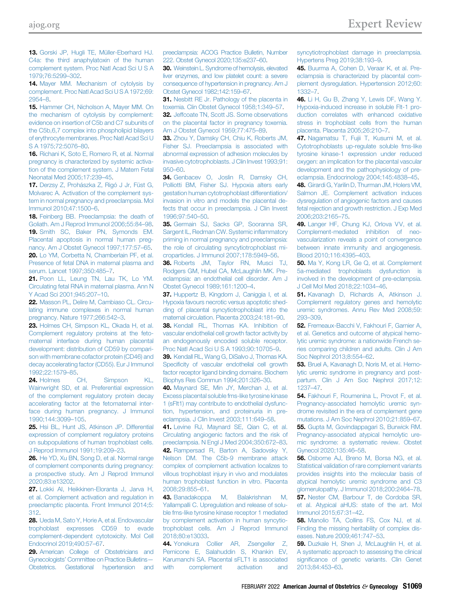<span id="page-10-0"></span>13. [Gorski JP, Hugli TE, Müller-Eberhard HJ.](http://refhub.elsevier.com/S0002-9378(20)31129-7/sref13) [C4a: the third anaphylatoxin of the human](http://refhub.elsevier.com/S0002-9378(20)31129-7/sref13) [complement system. Proc Natl Acad Sci U S A](http://refhub.elsevier.com/S0002-9378(20)31129-7/sref13) [1979;76:5299](http://refhub.elsevier.com/S0002-9378(20)31129-7/sref13)–302.

<span id="page-10-1"></span>14. [Mayer MM. Mechanism of cytolysis by](http://refhub.elsevier.com/S0002-9378(20)31129-7/sref14) [complement. Proc Natl Acad Sci U S A 1972;69:](http://refhub.elsevier.com/S0002-9378(20)31129-7/sref14) [2954](http://refhub.elsevier.com/S0002-9378(20)31129-7/sref14)–8.

<span id="page-10-2"></span>15. [Hammer CH, Nicholson A, Mayer MM. On](http://refhub.elsevier.com/S0002-9378(20)31129-7/sref15) [the mechanism of cytolysis by complement:](http://refhub.elsevier.com/S0002-9378(20)31129-7/sref15) [evidence on insertion of C5b and C7 subunits of](http://refhub.elsevier.com/S0002-9378(20)31129-7/sref15) [the C5b,6,7 complex into phospholipid bilayers](http://refhub.elsevier.com/S0002-9378(20)31129-7/sref15) [of erythrocyte membranes. Proc Natl Acad Sci U](http://refhub.elsevier.com/S0002-9378(20)31129-7/sref15) [S A 1975;72:5076](http://refhub.elsevier.com/S0002-9378(20)31129-7/sref15)–80.

<span id="page-10-3"></span>16. [Richani K, Soto E, Romero R, et al. Normal](http://refhub.elsevier.com/S0002-9378(20)31129-7/sref16) [pregnancy is characterized by systemic activa](http://refhub.elsevier.com/S0002-9378(20)31129-7/sref16)[tion of the complement system. J Matern Fetal](http://refhub.elsevier.com/S0002-9378(20)31129-7/sref16) [Neonatal Med 2005;17:239](http://refhub.elsevier.com/S0002-9378(20)31129-7/sref16)–45.

<span id="page-10-4"></span>17. [Derzsy Z, Prohászka Z, Rigó J Jr, Füst G,](http://refhub.elsevier.com/S0002-9378(20)31129-7/sref17) [Molvarec A. Activation of the complement sys](http://refhub.elsevier.com/S0002-9378(20)31129-7/sref17)[tem in normal pregnancy and preeclampsia. Mol](http://refhub.elsevier.com/S0002-9378(20)31129-7/sref17) [Immunol 2010;47:1500](http://refhub.elsevier.com/S0002-9378(20)31129-7/sref17)–6.

<span id="page-10-5"></span>18. [Feinberg BB. Preeclampsia: the death of](http://refhub.elsevier.com/S0002-9378(20)31129-7/sref18) [Goliath. Am J Reprod Immunol 2006;55:84](http://refhub.elsevier.com/S0002-9378(20)31129-7/sref18)–98. 19. [Smith SC, Baker PN, Symonds EM.](http://refhub.elsevier.com/S0002-9378(20)31129-7/sref19) [Placental apoptosis in normal human preg](http://refhub.elsevier.com/S0002-9378(20)31129-7/sref19)[nancy. Am J Obstet Gynecol 1997;177:57](http://refhub.elsevier.com/S0002-9378(20)31129-7/sref19)–65. 20. [Lo YM, Corbetta N, Chamberlain PF, et al.](http://refhub.elsevier.com/S0002-9378(20)31129-7/sref20) [Presence of fetal DNA in maternal plasma and](http://refhub.elsevier.com/S0002-9378(20)31129-7/sref20) [serum. Lancet 1997;350:485](http://refhub.elsevier.com/S0002-9378(20)31129-7/sref20)–7.

21. [Poon LL, Leung TN, Lau TK, Lo YM.](http://refhub.elsevier.com/S0002-9378(20)31129-7/sref21) [Circulating fetal RNA in maternal plasma. Ann N](http://refhub.elsevier.com/S0002-9378(20)31129-7/sref21) [Y Acad Sci 2001;945:207](http://refhub.elsevier.com/S0002-9378(20)31129-7/sref21)–10.

22. [Masson PL, Delire M, Cambiaso CL. Circu](http://refhub.elsevier.com/S0002-9378(20)31129-7/sref22)[lating immune complexes in normal human](http://refhub.elsevier.com/S0002-9378(20)31129-7/sref22) [pregnancy. Nature 1977;266:542](http://refhub.elsevier.com/S0002-9378(20)31129-7/sref22)–3.

<span id="page-10-6"></span>23. [Holmes CH, Simpson KL, Okada H, et al.](http://refhub.elsevier.com/S0002-9378(20)31129-7/sref23) [Complement regulatory proteins at the feto](http://refhub.elsevier.com/S0002-9378(20)31129-7/sref23)[maternal interface during human placental](http://refhub.elsevier.com/S0002-9378(20)31129-7/sref23) [development: distribution of CD59 by compari](http://refhub.elsevier.com/S0002-9378(20)31129-7/sref23)[son with membrane cofactor protein \(CD46\) and](http://refhub.elsevier.com/S0002-9378(20)31129-7/sref23) [decay accelerating factor \(CD55\). Eur J Immunol](http://refhub.elsevier.com/S0002-9378(20)31129-7/sref23) [1992;22:1579](http://refhub.elsevier.com/S0002-9378(20)31129-7/sref23)–85.

24. [Holmes CH, Simpson KL,](http://refhub.elsevier.com/S0002-9378(20)31129-7/sref24) [Wainwright SD, et al. Preferential expression](http://refhub.elsevier.com/S0002-9378(20)31129-7/sref24) [of the complement regulatory protein decay](http://refhub.elsevier.com/S0002-9378(20)31129-7/sref24) [accelerating factor at the fetomaternal inter](http://refhub.elsevier.com/S0002-9378(20)31129-7/sref24)[face during human pregnancy. J Immunol](http://refhub.elsevier.com/S0002-9378(20)31129-7/sref24) [1990;144:3099](http://refhub.elsevier.com/S0002-9378(20)31129-7/sref24)–105.

25. [Hsi BL, Hunt JS, Atkinson JP. Differential](http://refhub.elsevier.com/S0002-9378(20)31129-7/sref25) [expression of complement regulatory proteins](http://refhub.elsevier.com/S0002-9378(20)31129-7/sref25) [on subpopulations of human trophoblast cells.](http://refhub.elsevier.com/S0002-9378(20)31129-7/sref25) [J Reprod Immunol 1991;19:209](http://refhub.elsevier.com/S0002-9378(20)31129-7/sref25)–23.

<span id="page-10-7"></span>26. [He YD, Xu BN, Song D, et al. Normal range](http://refhub.elsevier.com/S0002-9378(20)31129-7/sref26) [of complement components during pregnancy:](http://refhub.elsevier.com/S0002-9378(20)31129-7/sref26) [a prospective study. Am J Reprod Immunol](http://refhub.elsevier.com/S0002-9378(20)31129-7/sref26) [2020;83:e13202](http://refhub.elsevier.com/S0002-9378(20)31129-7/sref26).

<span id="page-10-8"></span>27. [Lokki AI, Heikkinen-Eloranta J, Jarva H,](http://refhub.elsevier.com/S0002-9378(20)31129-7/sref27) [et al. Complement activation and regulation in](http://refhub.elsevier.com/S0002-9378(20)31129-7/sref27) [preeclamptic placenta. Front Immunol 2014;5:](http://refhub.elsevier.com/S0002-9378(20)31129-7/sref27) [312](http://refhub.elsevier.com/S0002-9378(20)31129-7/sref27).

<span id="page-10-9"></span>28. [Ueda M, Sato Y, Horie A, et al. Endovascular](http://refhub.elsevier.com/S0002-9378(20)31129-7/sref28) [trophoblast expresses CD59 to evade](http://refhub.elsevier.com/S0002-9378(20)31129-7/sref28) [complement-dependent cytotoxicity. Mol Cell](http://refhub.elsevier.com/S0002-9378(20)31129-7/sref28) [Endocrinol 2019;490:57](http://refhub.elsevier.com/S0002-9378(20)31129-7/sref28)–67.

<span id="page-10-10"></span>29. [American College of Obstetricians and](http://refhub.elsevier.com/S0002-9378(20)31129-7/sref29) Gynecologists' [Committee on Practice Bulletins](http://refhub.elsevier.com/S0002-9378(20)31129-7/sref29)— [Obstetrics. Gestational hypertension and](http://refhub.elsevier.com/S0002-9378(20)31129-7/sref29) [preeclampsia: ACOG Practice Bulletin, Number](http://refhub.elsevier.com/S0002-9378(20)31129-7/sref29) [222. Obstet Gynecol 2020;135:e237](http://refhub.elsevier.com/S0002-9378(20)31129-7/sref29)–60.

<span id="page-10-11"></span>30. [Weinstein L. Syndrome of hemolysis, elevated](http://refhub.elsevier.com/S0002-9378(20)31129-7/sref30) [liver enzymes, and low platelet count: a severe](http://refhub.elsevier.com/S0002-9378(20)31129-7/sref30) [consequence of hypertension in pregnancy. Am J](http://refhub.elsevier.com/S0002-9378(20)31129-7/sref30) [Obstet Gynecol 1982;142:159](http://refhub.elsevier.com/S0002-9378(20)31129-7/sref30)–67.

<span id="page-10-13"></span><span id="page-10-12"></span>31. [Nesbitt RE Jr. Pathology of the placenta in](http://refhub.elsevier.com/S0002-9378(20)31129-7/sref31) [toxemia. Clin Obstet Gynecol 1958;1:349](http://refhub.elsevier.com/S0002-9378(20)31129-7/sref31)–57. 32. [Jeffcoate TN, Scott JS. Some observations](http://refhub.elsevier.com/S0002-9378(20)31129-7/sref32) [on the placental factor in pregnancy toxemia.](http://refhub.elsevier.com/S0002-9378(20)31129-7/sref32)

<span id="page-10-14"></span>[Am J Obstet Gynecol 1959;77:475](http://refhub.elsevier.com/S0002-9378(20)31129-7/sref32)–89. 33. [Zhou Y, Damsky CH, Chiu K, Roberts JM,](http://refhub.elsevier.com/S0002-9378(20)31129-7/sref33)

[Fisher SJ. Preeclampsia is associated with](http://refhub.elsevier.com/S0002-9378(20)31129-7/sref33) [abnormal expression of adhesion molecules by](http://refhub.elsevier.com/S0002-9378(20)31129-7/sref33) [invasive cytotrophoblasts. J Clin Invest 1993;91:](http://refhub.elsevier.com/S0002-9378(20)31129-7/sref33) [950](http://refhub.elsevier.com/S0002-9378(20)31129-7/sref33)–60.

<span id="page-10-15"></span>34. [Genbacev O, Joslin R, Damsky CH,](http://refhub.elsevier.com/S0002-9378(20)31129-7/sref34) [Polliotti BM, Fisher SJ. Hypoxia alters early](http://refhub.elsevier.com/S0002-9378(20)31129-7/sref34) [gestation human cytotrophoblast differentiation/](http://refhub.elsevier.com/S0002-9378(20)31129-7/sref34) [invasion in vitro and models the placental de](http://refhub.elsevier.com/S0002-9378(20)31129-7/sref34)[fects that occur in preeclampsia. J Clin Invest](http://refhub.elsevier.com/S0002-9378(20)31129-7/sref34) [1996;97:540](http://refhub.elsevier.com/S0002-9378(20)31129-7/sref34)–50.

<span id="page-10-16"></span>35. [Germain SJ, Sacks GP, Sooranna SR,](http://refhub.elsevier.com/S0002-9378(20)31129-7/sref35) [Sargent IL, Redman CW. Systemic in](http://refhub.elsevier.com/S0002-9378(20)31129-7/sref35)flammatory [priming in normal pregnancy and preeclampsia:](http://refhub.elsevier.com/S0002-9378(20)31129-7/sref35) [the role of circulating syncytiotrophoblast mi](http://refhub.elsevier.com/S0002-9378(20)31129-7/sref35)[croparticles. J Immunol 2007;178:5949](http://refhub.elsevier.com/S0002-9378(20)31129-7/sref35)–56.

<span id="page-10-17"></span>36. [Roberts JM, Taylor RN, Musci TJ,](http://refhub.elsevier.com/S0002-9378(20)31129-7/sref36) [Rodgers GM, Hubel CA, McLaughlin MK. Pre](http://refhub.elsevier.com/S0002-9378(20)31129-7/sref36)[eclampsia: an endothelial cell disorder. Am J](http://refhub.elsevier.com/S0002-9378(20)31129-7/sref36) [Obstet Gynecol 1989;161:1200](http://refhub.elsevier.com/S0002-9378(20)31129-7/sref36)–4.

<span id="page-10-19"></span><span id="page-10-18"></span>37. [Huppertz B, Kingdom J, Caniggia I, et al.](http://refhub.elsevier.com/S0002-9378(20)31129-7/sref37) [Hypoxia favours necrotic versus apoptotic shed](http://refhub.elsevier.com/S0002-9378(20)31129-7/sref37)[ding of placental syncytiotrophoblast into the](http://refhub.elsevier.com/S0002-9378(20)31129-7/sref37) [maternal circulation. Placenta 2003;24:181](http://refhub.elsevier.com/S0002-9378(20)31129-7/sref37)–90. 38. [Kendall RL, Thomas KA. Inhibition of](http://refhub.elsevier.com/S0002-9378(20)31129-7/sref38) [vascular endothelial cell growth factor activity by](http://refhub.elsevier.com/S0002-9378(20)31129-7/sref38) [an endogenously encoded soluble receptor.](http://refhub.elsevier.com/S0002-9378(20)31129-7/sref38) [Proc Natl Acad Sci U S A 1993;90:10705](http://refhub.elsevier.com/S0002-9378(20)31129-7/sref38)–9.

39. [Kendall RL, Wang G, DiSalvo J, Thomas KA.](http://refhub.elsevier.com/S0002-9378(20)31129-7/sref39) Specifi[city of vascular endothelial cell growth](http://refhub.elsevier.com/S0002-9378(20)31129-7/sref39) [factor receptor ligand binding domains. Biochem](http://refhub.elsevier.com/S0002-9378(20)31129-7/sref39) [Biophys Res Commun 1994;201:326](http://refhub.elsevier.com/S0002-9378(20)31129-7/sref39)–30.

<span id="page-10-20"></span>40. [Maynard SE, Min JY, Merchan J, et al.](http://refhub.elsevier.com/S0002-9378(20)31129-7/sref40) [Excess placental soluble fms-like tyrosine kinase](http://refhub.elsevier.com/S0002-9378(20)31129-7/sref40) [1 \(sFlt1\) may contribute to endothelial dysfunc](http://refhub.elsevier.com/S0002-9378(20)31129-7/sref40)[tion, hypertension, and proteinuria in pre](http://refhub.elsevier.com/S0002-9378(20)31129-7/sref40)[eclampsia. J Clin Invest 2003;111:649](http://refhub.elsevier.com/S0002-9378(20)31129-7/sref40)–58.

<span id="page-10-21"></span>41. [Levine RJ, Maynard SE, Qian C, et al.](http://refhub.elsevier.com/S0002-9378(20)31129-7/sref41) [Circulating angiogenic factors and the risk of](http://refhub.elsevier.com/S0002-9378(20)31129-7/sref41) [preeclampsia. N Engl J Med 2004;350:672](http://refhub.elsevier.com/S0002-9378(20)31129-7/sref41)–83.

<span id="page-10-22"></span>42. [Rampersad R, Barton A, Sadovsky Y,](http://refhub.elsevier.com/S0002-9378(20)31129-7/sref42) [Nelson DM. The C5b-9 membrane attack](http://refhub.elsevier.com/S0002-9378(20)31129-7/sref42) [complex of complement activation localizes to](http://refhub.elsevier.com/S0002-9378(20)31129-7/sref42) [villous trophoblast injury in vivo and modulates](http://refhub.elsevier.com/S0002-9378(20)31129-7/sref42) [human trophoblast function in vitro. Placenta](http://refhub.elsevier.com/S0002-9378(20)31129-7/sref42) [2008;29:855](http://refhub.elsevier.com/S0002-9378(20)31129-7/sref42)–61.

<span id="page-10-23"></span>43. [Banadakoppa M, Balakrishnan M,](http://refhub.elsevier.com/S0002-9378(20)31129-7/sref43) [Yallampalli C. Upregulation and release of solu](http://refhub.elsevier.com/S0002-9378(20)31129-7/sref43)[ble fms-like tyrosine kinase receptor 1 mediated](http://refhub.elsevier.com/S0002-9378(20)31129-7/sref43) [by complement activation in human syncytio](http://refhub.elsevier.com/S0002-9378(20)31129-7/sref43)[trophoblast cells. Am J Reprod Immunol](http://refhub.elsevier.com/S0002-9378(20)31129-7/sref43) [2018;80:e13033.](http://refhub.elsevier.com/S0002-9378(20)31129-7/sref43)

<span id="page-10-24"></span>44. [Yonekura Collier AR, Zsengeller Z,](http://refhub.elsevier.com/S0002-9378(20)31129-7/sref44) [Pernicone E, Salahuddin S, Khankin EV,](http://refhub.elsevier.com/S0002-9378(20)31129-7/sref44) [Karumanchi SA. Placental sFLT1 is associated](http://refhub.elsevier.com/S0002-9378(20)31129-7/sref44) [with complement activation and](http://refhub.elsevier.com/S0002-9378(20)31129-7/sref44)

[syncytiotrophoblast damage in preeclampsia.](http://refhub.elsevier.com/S0002-9378(20)31129-7/sref44) [Hypertens Preg 2019;38:193](http://refhub.elsevier.com/S0002-9378(20)31129-7/sref44)–9.

<span id="page-10-25"></span>45. [Buurma A, Cohen D, Veraar K, et al. Pre](http://refhub.elsevier.com/S0002-9378(20)31129-7/sref45)[eclampsia is characterized by placental com](http://refhub.elsevier.com/S0002-9378(20)31129-7/sref45)[plement dysregulation. Hypertension 2012;60:](http://refhub.elsevier.com/S0002-9378(20)31129-7/sref45) [1332](http://refhub.elsevier.com/S0002-9378(20)31129-7/sref45)–7.

<span id="page-10-26"></span>46. [Li H, Gu B, Zhang Y, Lewis DF, Wang Y.](http://refhub.elsevier.com/S0002-9378(20)31129-7/sref46) [Hypoxia-induced increase in soluble Flt-1 pro](http://refhub.elsevier.com/S0002-9378(20)31129-7/sref46)[duction correlates with enhanced oxidative](http://refhub.elsevier.com/S0002-9378(20)31129-7/sref46) [stress in trophoblast cells from the human](http://refhub.elsevier.com/S0002-9378(20)31129-7/sref46) [placenta. Placenta 2005;26:210](http://refhub.elsevier.com/S0002-9378(20)31129-7/sref46)–7.

<span id="page-10-27"></span>47. [Nagamatsu T, Fujii T, Kusumi M, et al.](http://refhub.elsevier.com/S0002-9378(20)31129-7/sref47) [Cytotrophoblasts up-regulate soluble fms-like](http://refhub.elsevier.com/S0002-9378(20)31129-7/sref47) [tyrosine kinase-1 expression under reduced](http://refhub.elsevier.com/S0002-9378(20)31129-7/sref47) [oxygen: an implication for the placental vascular](http://refhub.elsevier.com/S0002-9378(20)31129-7/sref47) [development and the pathophysiology of pre](http://refhub.elsevier.com/S0002-9378(20)31129-7/sref47)[eclampsia. Endocrinology 2004;145:4838](http://refhub.elsevier.com/S0002-9378(20)31129-7/sref47)–45.

<span id="page-10-28"></span>48. [Girardi G, Yarilin D, Thurman JM, Holers VM,](http://refhub.elsevier.com/S0002-9378(20)31129-7/sref48) [Salmon JE. Complement activation induces](http://refhub.elsevier.com/S0002-9378(20)31129-7/sref48) [dysregulation of angiogenic factors and causes](http://refhub.elsevier.com/S0002-9378(20)31129-7/sref48) [fetal rejection and growth restriction. J Exp Med](http://refhub.elsevier.com/S0002-9378(20)31129-7/sref48) [2006;203:2165](http://refhub.elsevier.com/S0002-9378(20)31129-7/sref48)–75.

<span id="page-10-29"></span>49. Langer HF, Chung KJ, Orlova VV, et al. [Complement-mediated inhibition of neo](http://refhub.elsevier.com/S0002-9378(20)31129-7/sref49)[vascularization reveals a point of convergence](http://refhub.elsevier.com/S0002-9378(20)31129-7/sref49) [between innate immunity and angiogenesis.](http://refhub.elsevier.com/S0002-9378(20)31129-7/sref49) [Blood 2010;116:4395](http://refhub.elsevier.com/S0002-9378(20)31129-7/sref49)–403.

<span id="page-10-30"></span>50. [Ma Y, Kong LR, Ge Q, et al. Complement](http://refhub.elsevier.com/S0002-9378(20)31129-7/sref50) [5a-mediated trophoblasts dysfunction is](http://refhub.elsevier.com/S0002-9378(20)31129-7/sref50) [involved in the development of pre-eclampsia.](http://refhub.elsevier.com/S0002-9378(20)31129-7/sref50) [J Cell Mol Med 2018;22:1034](http://refhub.elsevier.com/S0002-9378(20)31129-7/sref50)–46.

<span id="page-10-31"></span>51. [Kavanagh D, Richards A, Atkinson J.](http://refhub.elsevier.com/S0002-9378(20)31129-7/sref51) [Complement regulatory genes and hemolytic](http://refhub.elsevier.com/S0002-9378(20)31129-7/sref51) [uremic syndromes. Annu Rev Med 2008;59:](http://refhub.elsevier.com/S0002-9378(20)31129-7/sref51) 293–[309.](http://refhub.elsevier.com/S0002-9378(20)31129-7/sref51)

<span id="page-10-32"></span>52. [Fremeaux-Bacchi V, Fakhouri F, Garnier A,](http://refhub.elsevier.com/S0002-9378(20)31129-7/sref52) [et al. Genetics and outcome of atypical hemo](http://refhub.elsevier.com/S0002-9378(20)31129-7/sref52)[lytic uremic syndrome: a nationwide French se](http://refhub.elsevier.com/S0002-9378(20)31129-7/sref52)[ries comparing children and adults. Clin J Am](http://refhub.elsevier.com/S0002-9378(20)31129-7/sref52) [Soc Nephrol 2013;8:554](http://refhub.elsevier.com/S0002-9378(20)31129-7/sref52)–62.

<span id="page-10-33"></span>53. [Bruel A, Kavanagh D, Noris M, et al. Hemo](http://refhub.elsevier.com/S0002-9378(20)31129-7/sref53)[lytic uremic syndrome in pregnancy and post](http://refhub.elsevier.com/S0002-9378(20)31129-7/sref53)[partum. Clin J Am Soc Nephrol 2017;12:](http://refhub.elsevier.com/S0002-9378(20)31129-7/sref53) [1237](http://refhub.elsevier.com/S0002-9378(20)31129-7/sref53)–47.

<span id="page-10-38"></span>54. [Fakhouri F, Roumenina L, Provot F, et al.](http://refhub.elsevier.com/S0002-9378(20)31129-7/sref54) [Pregnancy-associated hemolytic uremic syn](http://refhub.elsevier.com/S0002-9378(20)31129-7/sref54)[drome revisited in the era of complement gene](http://refhub.elsevier.com/S0002-9378(20)31129-7/sref54) [mutations. J Am Soc Nephrol 2010;21:859](http://refhub.elsevier.com/S0002-9378(20)31129-7/sref54)–67. 55. [Gupta M, Govindappagari S, Burwick RM.](http://refhub.elsevier.com/S0002-9378(20)31129-7/sref55) [Pregnancy-associated atypical hemolytic ure](http://refhub.elsevier.com/S0002-9378(20)31129-7/sref55)[mic syndrome: a systematic review. Obstet](http://refhub.elsevier.com/S0002-9378(20)31129-7/sref55) [Gynecol 2020;135:46](http://refhub.elsevier.com/S0002-9378(20)31129-7/sref55)–58.

<span id="page-10-34"></span>56. [Osborne AJ, Breno M, Borsa NG, et al.](http://refhub.elsevier.com/S0002-9378(20)31129-7/sref56) [Statistical validation of rare complement variants](http://refhub.elsevier.com/S0002-9378(20)31129-7/sref56) [provides insights into the molecular basis of](http://refhub.elsevier.com/S0002-9378(20)31129-7/sref56) [atypical hemolytic uremic syndrome and C3](http://refhub.elsevier.com/S0002-9378(20)31129-7/sref56) [glomerulopathy. J Immunol 2018;200:2464](http://refhub.elsevier.com/S0002-9378(20)31129-7/sref56)–78. 57. [Nester CM, Barbour T, de Cordoba SR,](http://refhub.elsevier.com/S0002-9378(20)31129-7/sref57)

<span id="page-10-35"></span>[et al. Atypical aHUS: state of the art. Mol](http://refhub.elsevier.com/S0002-9378(20)31129-7/sref57) [Immunol 2015;67:31](http://refhub.elsevier.com/S0002-9378(20)31129-7/sref57)–42.

<span id="page-10-36"></span>58. [Manolio TA, Collins FS, Cox NJ, et al.](http://refhub.elsevier.com/S0002-9378(20)31129-7/sref58) [Finding the missing heritability of complex dis](http://refhub.elsevier.com/S0002-9378(20)31129-7/sref58)[eases. Nature 2009;461:747](http://refhub.elsevier.com/S0002-9378(20)31129-7/sref58)–53.

<span id="page-10-37"></span>59. [Duzkale H, Shen J, McLaughlin H, et al.](http://refhub.elsevier.com/S0002-9378(20)31129-7/sref59) [A systematic approach to assessing the clinical](http://refhub.elsevier.com/S0002-9378(20)31129-7/sref59) signifi[cance of genetic variants. Clin Genet](http://refhub.elsevier.com/S0002-9378(20)31129-7/sref59) [2013;84:453](http://refhub.elsevier.com/S0002-9378(20)31129-7/sref59)–63.